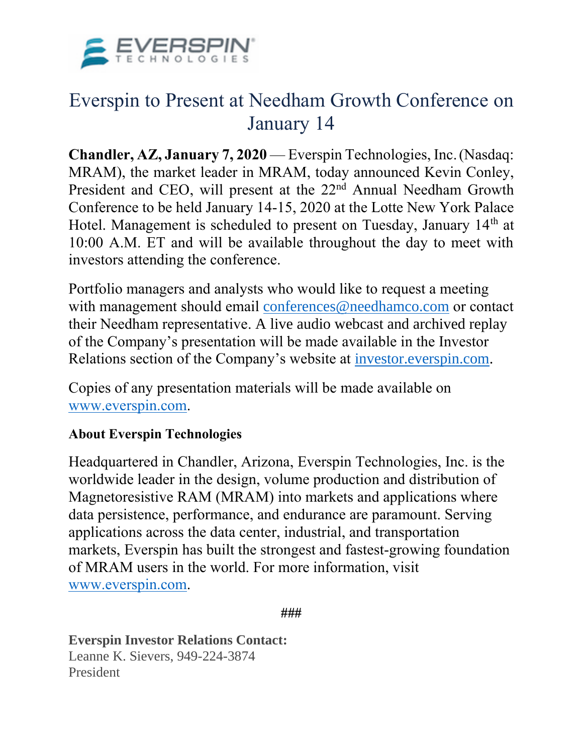

## Everspin to Present at Needham Growth Conference on January 14

**Chandler, AZ, January 7, 2020** — Everspin Technologies, Inc.(Nasdaq: MRAM), the market leader in MRAM, today announced Kevin Conley, President and CEO, will present at the 22<sup>nd</sup> Annual Needham Growth Conference to be held January 14-15, 2020 at the Lotte New York Palace Hotel. Management is scheduled to present on Tuesday, January 14th at 10:00 A.M. ET and will be available throughout the day to meet with investors attending the conference.

Portfolio managers and analysts who would like to request a meeting with management should email [conferences@needhamco.com](mailto:conferences@needhamco.com) or contact their Needham representative. A live audio webcast and archived replay of the Company's presentation will be made available in the Investor Relations section of the Company's website at [investor.everspin.com.](http://investor.everspin.com/)

Copies of any presentation materials will be made available on [www.everspin.com.](http://www.everspin.com/)

## **About Everspin Technologies**

Headquartered in Chandler, Arizona, Everspin Technologies, Inc. is the worldwide leader in the design, volume production and distribution of Magnetoresistive RAM (MRAM) into markets and applications where data persistence, performance, and endurance are paramount. Serving applications across the data center, industrial, and transportation markets, Everspin has built the strongest and fastest-growing foundation of MRAM users in the world. For more information, visit [www.everspin.com.](http://pro.ccs.gcs.nadq.pub/redirect/MjAxOTExMDdhMGQxNjA4OC00ZGNiLTQ3MzEtOWFjMy01ZmE4MDBhYTM3OWUtUDAyfHNoZWx0b25pckBzaGVsdG9uZ3JvdXAuY29t/?url=aHR0cHM6Ly9jdHMuYnVzaW5lc3N3aXJlLmNvbS9jdC9DVD9pZD1zbWFydGxpbmsmdXJsPWh0dHBzJTNBJTJGJTJGd3d3LmV2ZXJzcGluLmNvbSUyRiZlc2hlZXQ9NTE5NzM1MjcmbmV3c2l0ZW1pZD0yMDE5MDQyNDAwNTE5OCZsYW49ZW4tVVMmYW5jaG9yPXd3dy5ldmVyc3Bpbi5jb20maW5kZXg9MiZtZDU9MjlmMTVhZjFiMWZiZDNlZTg0NzkxMmFmZmEwNTQxNTg=)

**###**

**Everspin Investor Relations Contact:** Leanne K. Sievers, 949-224-3874 President